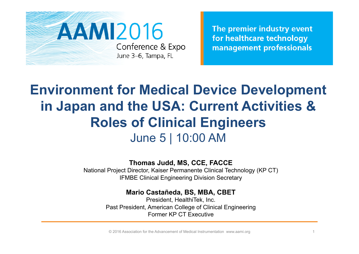

The premier industry event for healthcare technology management professionals

## **Environment for Medical Device Development in Japan and the USA: Current Activities & Roles of Clinical Engineers** June 5 | 10:00 AM

**Thomas Judd, MS, CCE, FACCE** 

National Project Director, Kaiser Permanente Clinical Technology (KP CT) IFMBE Clinical Engineering Division Secretary

**Mario Castañeda, BS, MBA, CBET** 

President, HealthiTek, Inc. Past President, American College of Clinical Engineering Former KP CT Executive

© 2016 Association for the Advancement of Medical Instrumentation www.aami.org 1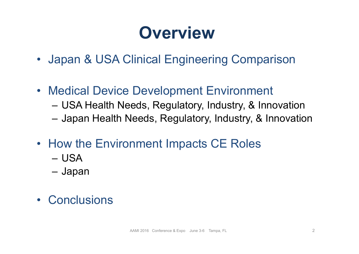# **Overview**

- Japan & USA Clinical Engineering Comparison
- Medical Device Development Environment
	- USA Health Needs, Regulatory, Industry, & Innovation
	- Japan Health Needs, Regulatory, Industry, & Innovation
- How the Environment Impacts CE Roles
	- USA
	- Japan
- Conclusions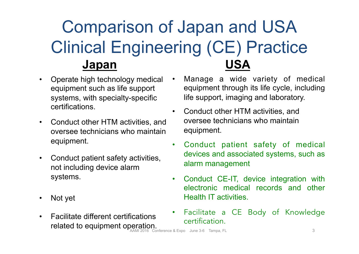# Comparison of Japan and USA Clinical Engineering (CE) Practice **Japan USA**

- Operate high technology medical equipment such as life support systems, with specialty-specific certifications.
- Conduct other HTM activities, and oversee technicians who maintain equipment.
- Conduct patient safety activities, not including device alarm systems.
- Not yet
- Facilitate different certifications related to equipment operation.
- Manage a wide variety of medical equipment through its life cycle, including life support, imaging and laboratory.
- Conduct other HTM activities, and oversee technicians who maintain equipment.
- Conduct patient safety of medical devices and associated systems, such as alarm management
- Conduct CE-IT, device integration with electronic medical records and other Health IT activities.
- Facilitate a CE Body of Knowledge certification.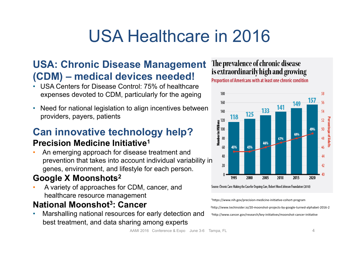# USA Healthcare in 2016

### **USA: Chronic Disease Management (CDM) – medical devices needed!**

- USA Centers for Disease Control: 75% of healthcare expenses devoted to CDM, particularly for the ageing
- Need for national legislation to align incentives between providers, payers, patients

### **Can innovative technology help?**

### **Precision Medicine Initiative1**

• An emerging approach for disease treatment and prevention that takes into account individual variability in genes, environment, and lifestyle for each person.

### **Google X Moonshots2**

• A variety of approaches for CDM, cancer, and healthcare resource management

### **National Moonshot3: Cancer**

• Marshalling national resources for early detection and best treatment, and data sharing among experts

### The prevalence of chronic disease is extraordinarily high and growing





Source: Chronic Care: Making the Case for Ongoing Care, Robert Wood Johnson Foundation (2010)

<sup>1</sup>https://www.nih.gov/precision-medicine-initiative-cohort-program 2h#p://www.techinsider.io/20-moonshot-projects-by-google-turned-alphabet-2016-2 <sup>3</sup>http://www.cancer.gov/research/key-initiatives/moonshot-cancer-initiative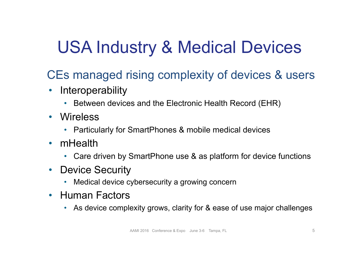# USA Industry & Medical Devices

## CEs managed rising complexity of devices & users

- Interoperability
	- Between devices and the Electronic Health Record (EHR)
- Wireless
	- Particularly for SmartPhones & mobile medical devices
- mHealth
	- Care driven by SmartPhone use & as platform for device functions
- Device Security
	- Medical device cybersecurity a growing concern
- Human Factors
	- As device complexity grows, clarity for & ease of use major challenges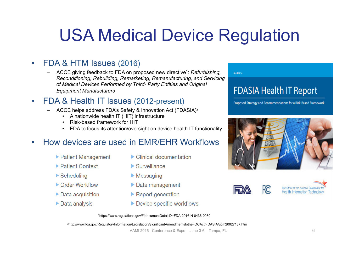# USA Medical Device Regulation

### • FDA & HTM Issues (2016)

– ACCE giving feedback to FDA on proposed new directive1: *Refurbishing, Reconditioning, Rebuilding, Remarketing, Remanufacturing, and Servicing of Medical Devices Performed by Third- Party Entities and Original Equipment Manufacturers*

#### • FDA & Health IT Issues (2012-present)

- ACCE helps address FDA's Safety & Innovation Act (FDASIA)2
	- A nationwide health IT (HIT) infrastructure
	- Risk-based framework for HIT
	- FDA to focus its attention/oversight on device health IT functionality

### • How devices are used in EMR/EHR Workflows

- Patient Management
- ▶ Patient Context
- $\blacktriangleright$  Scheduling
- Order Workflow
- $\triangleright$  Data acquisition
- $\triangleright$  Data analysis
- $\triangleright$  Clinical documentation
- $\blacktriangleright$  Surveillance
- $\blacktriangleright$  Messaging
- $\triangleright$  Data management
- $\blacktriangleright$  Report generation
- Device specific workflows



Proposed Strategy and Recommendations for a Risk-Based Framework





 $E$ 

April 2014

The Office of the National Coordinator **Health Information Technology** 

1https://www.regulations.gov/#!documentDetail;D=FDA-2016-N-0436-0039

2http://www.fda.gov/RegulatoryInformation/Legislation/SignificantAmendmentstotheFDCAct/FDASIA/ucm20027187.htm

AAMI 2016 Conference & Expo June 3-6 Tampa, FL 6 6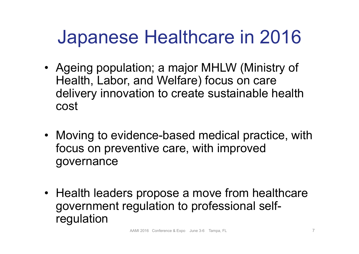# Japanese Healthcare in 2016

- Ageing population; a major MHLW (Ministry of Health, Labor, and Welfare) focus on care delivery innovation to create sustainable health cost
- Moving to evidence-based medical practice, with focus on preventive care, with improved governance
- Health leaders propose a move from healthcare government regulation to professional selfregulation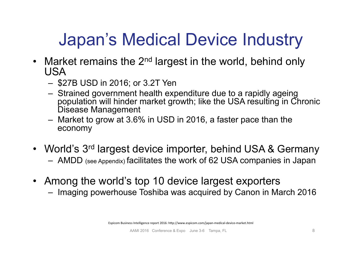# Japan's Medical Device Industry

- Market remains the 2<sup>nd</sup> largest in the world, behind only USA
	- \$27B USD in 2016; or 3.2T Yen
	- Strained government health expenditure due to a rapidly ageing population will hinder market growth; like the USA resulting in Chronic Disease Management
	- Market to grow at 3.6% in USD in 2016, a faster pace than the economy
- World's 3<sup>rd</sup> largest device importer, behind USA & Germany
	- AMDD (see Appendix) facilitates the work of 62 USA companies in Japan
- Among the world's top 10 device largest exporters
	- Imaging powerhouse Toshiba was acquired by Canon in March 2016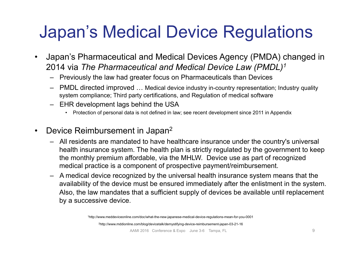# Japan's Medical Device Regulations

- Japan's Pharmaceutical and Medical Devices Agency (PMDA) changed in 2014 via *The Pharmaceutical and Medical Device Law (PMDL)1*
	- Previously the law had greater focus on Pharmaceuticals than Devices
	- PMDL directed improved … Medical device industry in-country representation; Industry quality system compliance; Third party certifications, and Regulation of medical software
	- EHR development lags behind the USA
		- Protection of personal data is not defined in law; see recent development since 2011 in Appendix
- Device Reimbursement in Japan<sup>2</sup>
	- All residents are mandated to have healthcare insurance under the country's universal health insurance system. The health plan is strictly regulated by the government to keep the monthly premium affordable, via the MHLW. Device use as part of recognized medical practice is a component of prospective payment/reimbursement.
	- A medical device recognized by the universal health insurance system means that the availability of the device must be ensured immediately after the enlistment in the system. Also, the law mandates that a sufficient supply of devices be available until replacement by a successive device.

1http://www.meddeviceonline.com/doc/what-the-new-japanese-medical-device-regulations-mean-for-you-0001

2http://www.mddionline.com/blog/devicetalk/demystifying-device-reimbursement-japan-03-21-16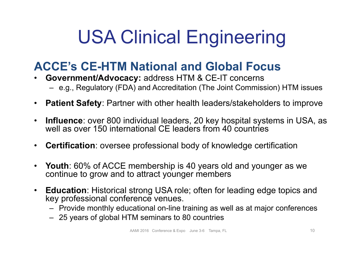# USA Clinical Engineering

## **ACCE's CE-HTM National and Global Focus**

- **Government/Advocacy:** address HTM & CE-IT concerns – e.g., Regulatory (FDA) and Accreditation (The Joint Commission) HTM issues
- **Patient Safety**: Partner with other health leaders/stakeholders to improve
- **Influence**: over 800 individual leaders, 20 key hospital systems in USA, as well as over 150 international CE leaders from 40 countries
- **Certification**: oversee professional body of knowledge certification
- **Youth**: 60% of ACCE membership is 40 years old and younger as we continue to grow and to attract younger members
- **Education**: Historical strong USA role; often for leading edge topics and key professional conference venues.
	- Provide monthly educational on-line training as well as at major conferences
	- 25 years of global HTM seminars to 80 countries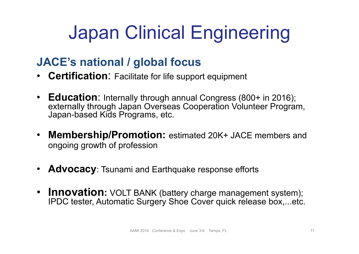# Japan Clinical Engineering

### **JACE's national / global focus**

- **Certification**: Facilitate for life support equipment
- **Education**: Internally through annual Congress (800+ in 2016); externally through Japan Overseas Cooperation Volunteer Program, Japan-based Kids Programs, etc.
- **Membership/Promotion:** estimated 20K+ JACE members and ongoing growth of profession
- **Advocacy**: Tsunami and Earthquake response efforts
- **Innovation:** VOLT BANK (battery charge management system); IPDC tester, Automatic Surgery Shoe Cover quick release box,...etc.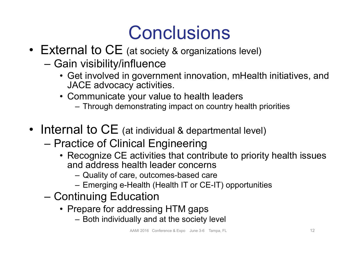# **Conclusions**

- External to CE (at society & organizations level)
	- Gain visibility/influence
		- Get involved in government innovation, mHealth initiatives, and JACE advocacy activities.
		- Communicate your value to health leaders
			- Through demonstrating impact on country health priorities
- Internal to CE (at individual & departmental level)
	- Practice of Clinical Engineering
		- Recognize CE activities that contribute to priority health issues and address health leader concerns
			- Quality of care, outcomes-based care
			- Emerging e-Health (Health IT or CE-IT) opportunities
	- Continuing Education
		- Prepare for addressing HTM gaps
			- Both individually and at the society level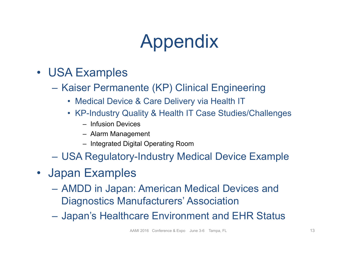# Appendix

- USA Examples
	- Kaiser Permanente (KP) Clinical Engineering
		- Medical Device & Care Delivery via Health IT
		- KP-Industry Quality & Health IT Case Studies/Challenges
			- Infusion Devices
			- Alarm Management
			- Integrated Digital Operating Room
	- USA Regulatory-Industry Medical Device Example
- Japan Examples
	- AMDD in Japan: American Medical Devices and Diagnostics Manufacturers' Association
	- Japan's Healthcare Environment and EHR Status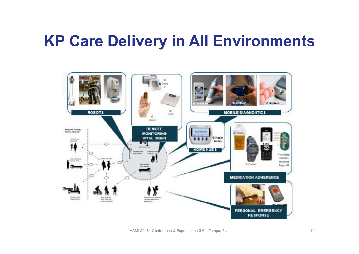## **KP Care Delivery in All Environments**

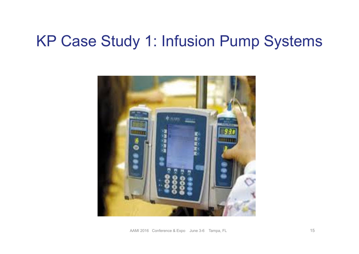## KP Case Study 1: Infusion Pump Systems

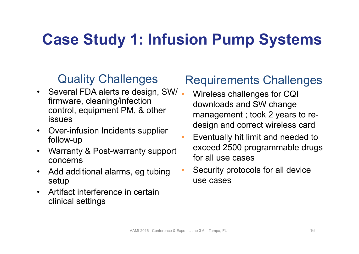## **Case Study 1: Infusion Pump Systems**

### Quality Challenges

- Several FDA alerts re design, SW/. firmware, cleaning/infection control, equipment PM, & other issues
- Over-infusion Incidents supplier follow-up
- Warranty & Post-warranty support concerns
- Add additional alarms, eg tubing setup
- Artifact interference in certain clinical settings

### Requirements Challenges

- Wireless challenges for CQI downloads and SW change management ; took 2 years to redesign and correct wireless card
- Eventually hit limit and needed to exceed 2500 programmable drugs for all use cases
- Security protocols for all device use cases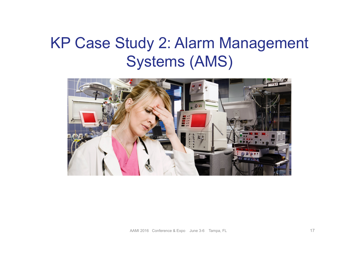## KP Case Study 2: Alarm Management Systems (AMS)

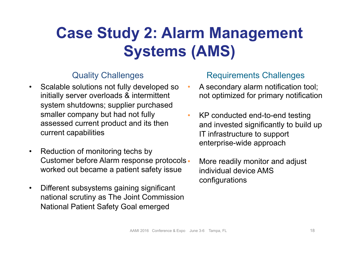## **Case Study 2: Alarm Management Systems (AMS)**

#### Quality Challenges

- Scalable solutions not fully developed so initially server overloads & intermittent system shutdowns; supplier purchased smaller company but had not fully assessed current product and its then current capabilities
- Reduction of monitoring techs by Customer before Alarm response protocols worked out became a patient safety issue
- Different subsystems gaining significant national scrutiny as The Joint Commission National Patient Safety Goal emerged

#### Requirements Challenges

- A secondary alarm notification tool; not optimized for primary notification
- KP conducted end-to-end testing and invested significantly to build up IT infrastructure to support enterprise-wide approach
	- More readily monitor and adjust individual device AMS configurations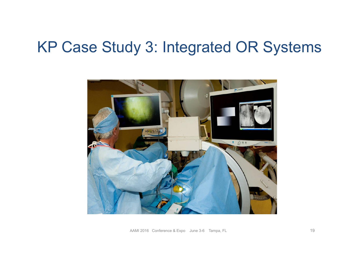## KP Case Study 3: Integrated OR Systems

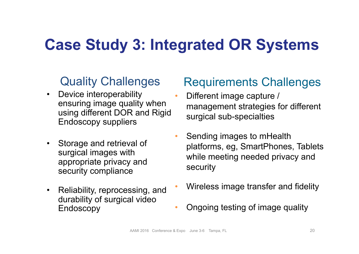## **Case Study 3: Integrated OR Systems**

### Quality Challenges

- Device interoperability ensuring image quality when using different DOR and Rigid Endoscopy suppliers
- Storage and retrieval of surgical images with appropriate privacy and security compliance
- Reliability, reprocessing, and durability of surgical video Endoscopy

### Requirements Challenges

- Different image capture / management strategies for different surgical sub-specialties
- Sending images to mHealth platforms, eg, SmartPhones, Tablets while meeting needed privacy and security
- Wireless image transfer and fidelity
- Ongoing testing of image quality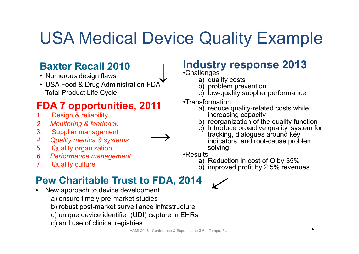## USA Medical Device Quality Example

### **Baxter Recall 2010**

- Numerous design flaws
- USA Food & Drug Administration-FDA Total Product Life Cycle  $\downarrow$

### **FDA 7 opportunities, 2011**

- 1. Design & reliability
- *2. Monitoring & feedback*
- 3. Supplier management
- *4. Quality metrics & systems*
- 5. Quality organization
- *6. Performance management*
- 7. Quality culture

#### **Industry response 2013**  •Challenges

- a) quality costs
- b) problem prevention
- c) low-quality supplier performance
- •Transformation
	- a) reduce quality-related costs while increasing capacity
	- b) reorganization of the quality function
	- c) Introduce proactive quality, system for tracking, dialogues around key indicators, and root-cause problem solving

•Results

- a) Reduction in cost of Q by 35%
- b) improved profit by 2.5% revenues

## •. **Pew Charitable Trust to FDA, 2014**

- New approach to device development
	- a) ensure timely pre-market studies
	- b) robust post-market surveillance infrastructure
	- c) unique device identifier (UDI) capture in EHRs
	- d) and use of clinical registries

 $\rightarrow$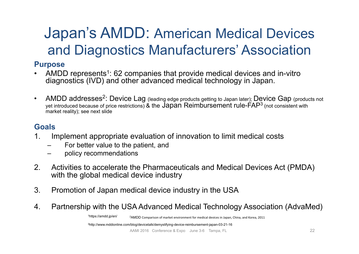## Japan's AMDD: American Medical Devices and Diagnostics Manufacturers' Association

#### **Purpose**

- AMDD represents<sup>1</sup>: 62 companies that provide medical devices and in-vitro diagnostics (IVD) and other advanced medical technology in Japan.
- AMDD addresses<sup>2</sup>: Device Lag (leading edge products getting to Japan later); Device Gap (products not yet introduced because of price restrictions) & the Japan Reimbursement rule-FAP3 (not consistent with market reality); see next slide

#### **Goals**

- 1. Implement appropriate evaluation of innovation to limit medical costs
	- For better value to the patient, and
	- policy recommendations
- 2. Activities to accelerate the Pharmaceuticals and Medical Devices Act (PMDA) with the global medical device industry
- 3. Promotion of Japan medical device industry in the USA
- 4. Partnership with the USA Advanced Medical Technology Association (AdvaMed)<br><sup>1https://amdd.jp/en/</sup><br>24MDD Comparison of market environment for medical devices in lapan. China and Korea 2011

 $2$ AMDD Comparison of market environment for medical devices in Japan, China, and Korea, 2011

3http://www.mddionline.com/blog/devicetalk/demystifying-device-reimbursement-japan-03-21-16